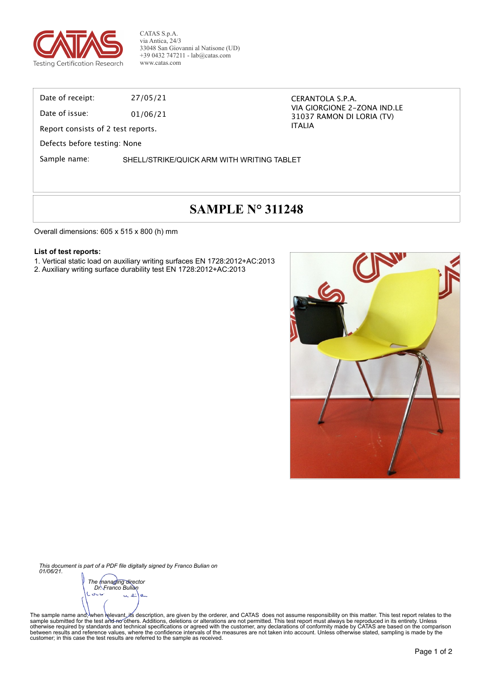

CATAS S.p.A. via Antica, 24/3 33048 San Giovanni al Natisone (UD) +39 0432 747211 - lab@catas.com www.catas.com

Date of receipt: 27/05/21

Date of issue: 01/06/21

Report consists of 2 test reports.

Defects before testing: None

Sample name: SHELL/STRIKE/QUICK ARM WITH WRITING TABLET

# **SAMPLE N° 311248**

CERANTOLA S.P.A.

ITALIA

VIA GIORGIONE 2-ZONA IND.LE 31037 RAMON DI LORIA (TV)

Overall dimensions: 605 x 515 x 800 (h) mm

#### **List of test reports:**

1. Vertical static load on auxiliary writing surfaces EN 1728:2012+AC:2013

2. Auxiliary writing surface durability test EN 1728:2012+AC:2013



*This document is part of a PDF file digitally signed by Franco Bulian on 01/06/21.*

*The managing director Dr. Franco Bulian*متازق  $\alpha$   $\alpha$ 

The sample name and;<sup>∖</sup>when ielevant, its description, are given by the orderer, and CATAS does not assume responsibility on this matter. This test report relates to the<br>sample submitted for the test and fechnical specif between results and reference values, where the confidence intervals of the measures are not taken into account. Unless otherwise stated, sampling is made by the<br>customer; in this case the test results are referred to the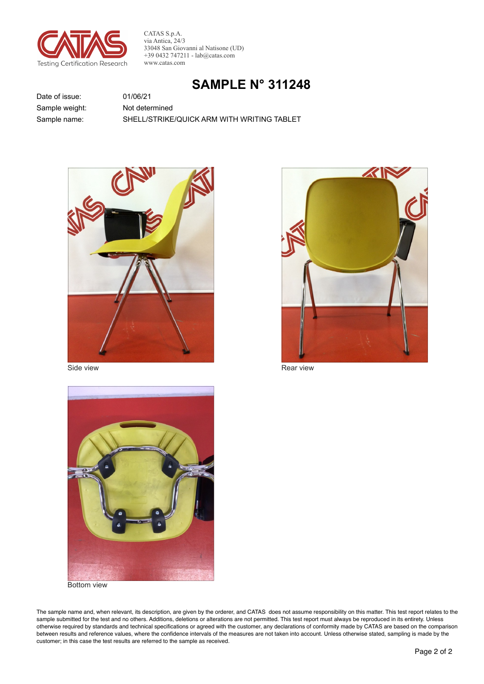

CATAS S.p.A. via Antica, 24/3 33048 San Giovanni al Natisone (UD)  $+390432747211 - lab@catas.com$ www.catas.com

## **SAMPLE N° 311248**

Date of issue: Sample weight: Sample name:

Not determined SHELL/STRIKE/QUICK ARM WITH WRITING TABLET



01/06/21

Side view



Rear view



**Bottom view** 

The sample name and, when relevant, its description, are given by the orderer, and CATAS does not assume responsibility on this matter. This test report relates to the sample submitted for the test and no others. Additions, deletions or alterations are not permitted. This test report must always be reproduced in its entirety. Unless otherwise required by standards and technical specifications or agreed with the customer, any declarations of conformity made by CATAS are based on the comparison between results and reference values, where the confidence intervals of the measures are not taken into account. Unless otherwise stated, sampling is made by the customer; in this case the test results are referred to the sample as received.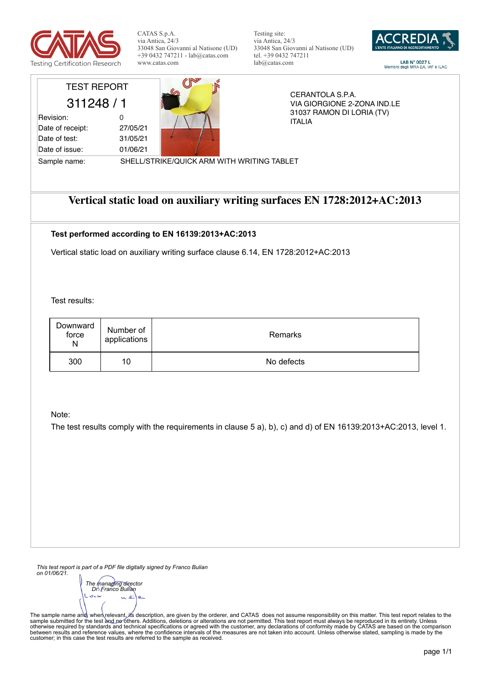

CATAS S.p.A. via Antica, 24/3 33048 San Giovanni al Natisone (UD) +39 0432 747211 - lab@catas.com www.catas.com

Testing site: via Antica, 24/3 33048 San Giovanni al Natisone (UD) tel. +39 0432 747211 lab@catas.com



 $\begin{array}{c} \textbf{LAB N}^\circ\textbf{ 0027 L}\\ \textbf{Membro degli MRA EA, IAF e ILAC} \end{array}$ 

| <b>TEST REPORT</b> |          |
|--------------------|----------|
| 311248 / 1         |          |
| Revision:          | O        |
| Date of receipt:   | 27/05/21 |
| Date of test:      | 31/05/21 |

Date of issue: 01/06/21



CERANTOLA S.P.A. VIA GIORGIONE 2-ZONA IND.LE 31037 RAMON DI LORIA (TV) ITALIA

Sample name: SHELL/STRIKE/QUICK ARM WITH WRITING TABLET

## **Vertical static load on auxiliary writing surfaces EN 1728:2012+AC:2013**

#### **Test performed according to EN 16139:2013+AC:2013**

Vertical static load on auxiliary writing surface clause 6.14, EN 1728:2012+AC:2013

Test results:

| Downward<br>force<br>N | Number of<br>applications | Remarks    |
|------------------------|---------------------------|------------|
| 300                    | 10                        | No defects |

Note:

The test results comply with the requirements in clause 5 a), b), c) and d) of EN 16139:2013+AC:2013, level 1.

*This test report is part of a PDF file digitally signed by Franco Bulian on 01/06/21.*

*The managing director Dr. Franco Bulian* $\sim$ 

The sample name and∖ when∖relevant, ifs description, are given by the orderer, and CATAS does not assume responsibility on this matter. This test report relates to the<br>sample submitted for the test ànd ne^others. Additio between results and reference values, where the confidence intervals of the measures are not taken into account. Unless otherwise stated, sampling is made by the<br>customer; in this case the test results are referred to the